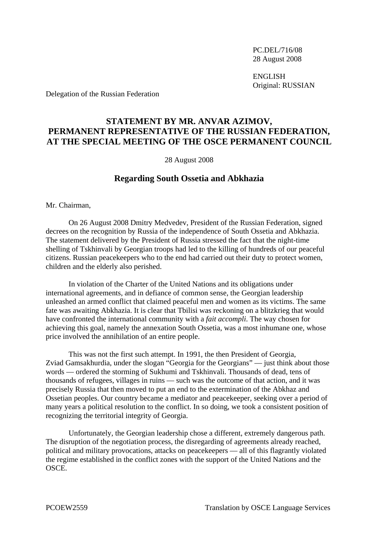PC.DEL/716/08 28 August 2008

 ENGLISH Original: RUSSIAN

Delegation of the Russian Federation

## **STATEMENT BY MR. ANVAR AZIMOV, PERMANENT REPRESENTATIVE OF THE RUSSIAN FEDERATION, AT THE SPECIAL MEETING OF THE OSCE PERMANENT COUNCIL**

28 August 2008

## **Regarding South Ossetia and Abkhazia**

Mr. Chairman,

 On 26 August 2008 Dmitry Medvedev, President of the Russian Federation, signed decrees on the recognition by Russia of the independence of South Ossetia and Abkhazia. The statement delivered by the President of Russia stressed the fact that the night-time shelling of Tskhinvali by Georgian troops had led to the killing of hundreds of our peaceful citizens. Russian peacekeepers who to the end had carried out their duty to protect women, children and the elderly also perished.

 In violation of the Charter of the United Nations and its obligations under international agreements, and in defiance of common sense, the Georgian leadership unleashed an armed conflict that claimed peaceful men and women as its victims. The same fate was awaiting Abkhazia. It is clear that Tbilisi was reckoning on a blitzkrieg that would have confronted the international community with a *fait accompli*. The way chosen for achieving this goal, namely the annexation South Ossetia, was a most inhumane one, whose price involved the annihilation of an entire people.

 This was not the first such attempt. In 1991, the then President of Georgia, Zviad Gamsakhurdia, under the slogan "Georgia for the Georgians" — just think about those words — ordered the storming of Sukhumi and Tskhinvali. Thousands of dead, tens of thousands of refugees, villages in ruins — such was the outcome of that action, and it was precisely Russia that then moved to put an end to the extermination of the Abkhaz and Ossetian peoples. Our country became a mediator and peacekeeper, seeking over a period of many years a political resolution to the conflict. In so doing, we took a consistent position of recognizing the territorial integrity of Georgia.

 Unfortunately, the Georgian leadership chose a different, extremely dangerous path. The disruption of the negotiation process, the disregarding of agreements already reached, political and military provocations, attacks on peacekeepers — all of this flagrantly violated the regime established in the conflict zones with the support of the United Nations and the OSCE.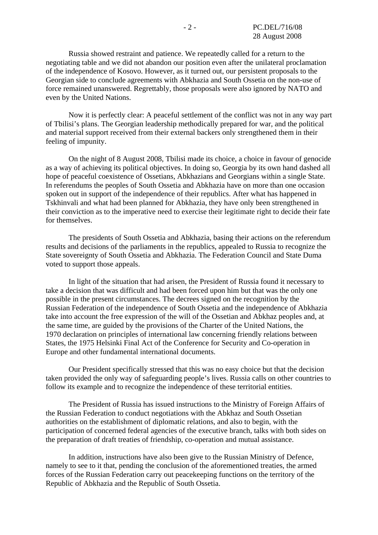Russia showed restraint and patience. We repeatedly called for a return to the negotiating table and we did not abandon our position even after the unilateral proclamation of the independence of Kosovo. However, as it turned out, our persistent proposals to the Georgian side to conclude agreements with Abkhazia and South Ossetia on the non-use of force remained unanswered. Regrettably, those proposals were also ignored by NATO and even by the United Nations.

 Now it is perfectly clear: A peaceful settlement of the conflict was not in any way part of Tbilisi's plans. The Georgian leadership methodically prepared for war, and the political and material support received from their external backers only strengthened them in their feeling of impunity.

 On the night of 8 August 2008, Tbilisi made its choice, a choice in favour of genocide as a way of achieving its political objectives. In doing so, Georgia by its own hand dashed all hope of peaceful coexistence of Ossetians, Abkhazians and Georgians within a single State. In referendums the peoples of South Ossetia and Abkhazia have on more than one occasion spoken out in support of the independence of their republics. After what has happened in Tskhinvali and what had been planned for Abkhazia, they have only been strengthened in their conviction as to the imperative need to exercise their legitimate right to decide their fate for themselves.

 The presidents of South Ossetia and Abkhazia, basing their actions on the referendum results and decisions of the parliaments in the republics, appealed to Russia to recognize the State sovereignty of South Ossetia and Abkhazia. The Federation Council and State Duma voted to support those appeals.

 In light of the situation that had arisen, the President of Russia found it necessary to take a decision that was difficult and had been forced upon him but that was the only one possible in the present circumstances. The decrees signed on the recognition by the Russian Federation of the independence of South Ossetia and the independence of Abkhazia take into account the free expression of the will of the Ossetian and Abkhaz peoples and, at the same time, are guided by the provisions of the Charter of the United Nations, the 1970 declaration on principles of international law concerning friendly relations between States, the 1975 Helsinki Final Act of the Conference for Security and Co-operation in Europe and other fundamental international documents.

 Our President specifically stressed that this was no easy choice but that the decision taken provided the only way of safeguarding people's lives. Russia calls on other countries to follow its example and to recognize the independence of these territorial entities.

 The President of Russia has issued instructions to the Ministry of Foreign Affairs of the Russian Federation to conduct negotiations with the Abkhaz and South Ossetian authorities on the establishment of diplomatic relations, and also to begin, with the participation of concerned federal agencies of the executive branch, talks with both sides on the preparation of draft treaties of friendship, co-operation and mutual assistance.

 In addition, instructions have also been give to the Russian Ministry of Defence, namely to see to it that, pending the conclusion of the aforementioned treaties, the armed forces of the Russian Federation carry out peacekeeping functions on the territory of the Republic of Abkhazia and the Republic of South Ossetia.